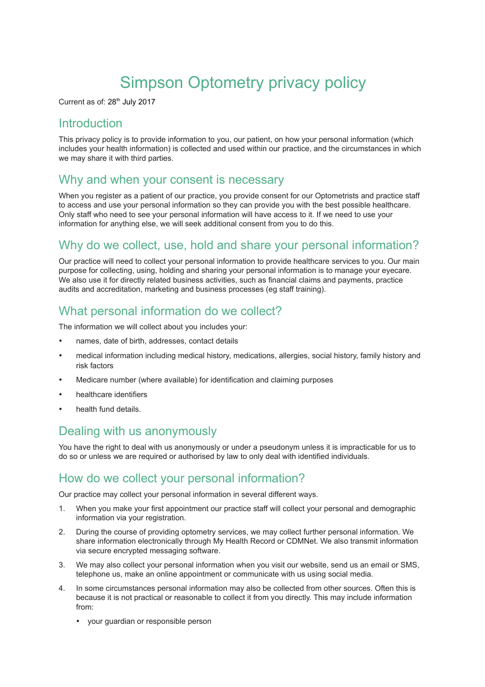# Simpson Optometry privacy policy

Current as of: 28<sup>th</sup> July 2017

### **Introduction**

This privacy policy is to provide information to you, our patient, on how your personal information (which includes your health information) is collected and used within our practice, and the circumstances in which we may share it with third parties.

### Why and when your consent is necessary

When you register as a patient of our practice, you provide consent for our Optometrists and practice staff to access and use your personal information so they can provide you with the best possible healthcare. Only staff who need to see your personal information will have access to it. If we need to use your information for anything else, we will seek additional consent from you to do this.

### Why do we collect, use, hold and share your personal information?

Our practice will need to collect your personal information to provide healthcare services to you. Our main purpose for collecting, using, holding and sharing your personal information is to manage your eyecare. We also use it for directly related business activities, such as financial claims and payments, practice audits and accreditation, marketing and business processes (eg staff training).

### What personal information do we collect?

The information we will collect about you includes your:

- names, date of birth, addresses, contact details
- medical information including medical history, medications, allergies, social history, family history and risk factors
- Medicare number (where available) for identification and claiming purposes
- healthcare identifiers
- health fund details.

### Dealing with us anonymously

You have the right to deal with us anonymously or under a pseudonym unless it is impracticable for us to do so or unless we are required or authorised by law to only deal with identified individuals.

### How do we collect your personal information?

Our practice may collect your personal information in several different ways.

- 1. When you make your first appointment our practice staff will collect your personal and demographic information via your registration.
- 2. During the course of providing optometry services, we may collect further personal information. We share information electronically through My Health Record or CDMNet. We also transmit information via secure encrypted messaging software.
- 3. We may also collect your personal information when you visit our website, send us an email or SMS, telephone us, make an online appointment or communicate with us using social media.
- 4. In some circumstances personal information may also be collected from other sources. Often this is because it is not practical or reasonable to collect it from you directly. This may include information from:
	- your guardian or responsible person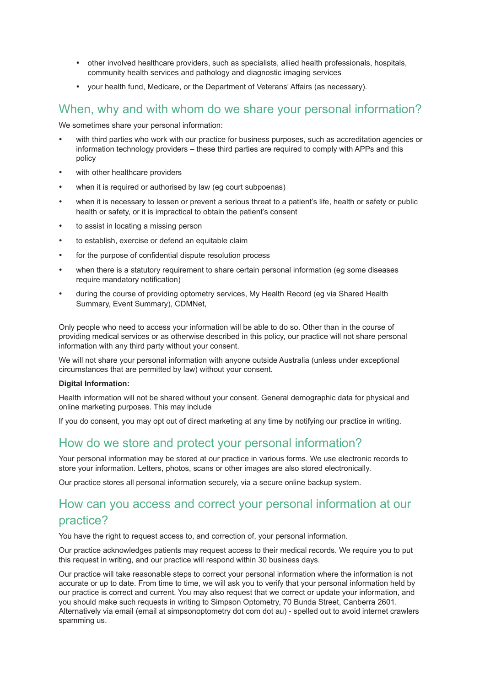- other involved healthcare providers, such as specialists, allied health professionals, hospitals, community health services and pathology and diagnostic imaging services
- vour health fund, Medicare, or the Department of Veterans' Affairs (as necessary).

# When, why and with whom do we share your personal information?

We sometimes share your personal information:

- with third parties who work with our practice for business purposes, such as accreditation agencies or information technology providers – these third parties are required to comply with APPs and this policy
- with other healthcare providers
- when it is required or authorised by law (eg court subpoenas)
- when it is necessary to lessen or prevent a serious threat to a patient's life, health or safety or public health or safety, or it is impractical to obtain the patient's consent
- to assist in locating a missing person
- to establish, exercise or defend an equitable claim
- for the purpose of confidential dispute resolution process
- when there is a statutory requirement to share certain personal information (eg some diseases require mandatory notification)
- during the course of providing optometry services, My Health Record (eg via Shared Health Summary, Event Summary), CDMNet,

Only people who need to access your information will be able to do so. Other than in the course of providing medical services or as otherwise described in this policy, our practice will not share personal information with any third party without your consent.

We will not share your personal information with anyone outside Australia (unless under exceptional circumstances that are permitted by law) without your consent.

#### **Digital Information:**

Health information will not be shared without your consent. General demographic data for physical and online marketing purposes. This may include

If you do consent, you may opt out of direct marketing at any time by notifying our practice in writing.

### How do we store and protect your personal information?

Your personal information may be stored at our practice in various forms. We use electronic records to store your information. Letters, photos, scans or other images are also stored electronically.

Our practice stores all personal information securely, via a secure online backup system.

### How can you access and correct your personal information at our practice?

You have the right to request access to, and correction of, your personal information.

Our practice acknowledges patients may request access to their medical records. We require you to put this request in writing, and our practice will respond within 30 business days.

Our practice will take reasonable steps to correct your personal information where the information is not accurate or up to date. From time to time, we will ask you to verify that your personal information held by our practice is correct and current. You may also request that we correct or update your information, and you should make such requests in writing to Simpson Optometry, 70 Bunda Street, Canberra 2601. Alternatively via email (email at simpsonoptometry dot com dot au) - spelled out to avoid internet crawlers spamming us.